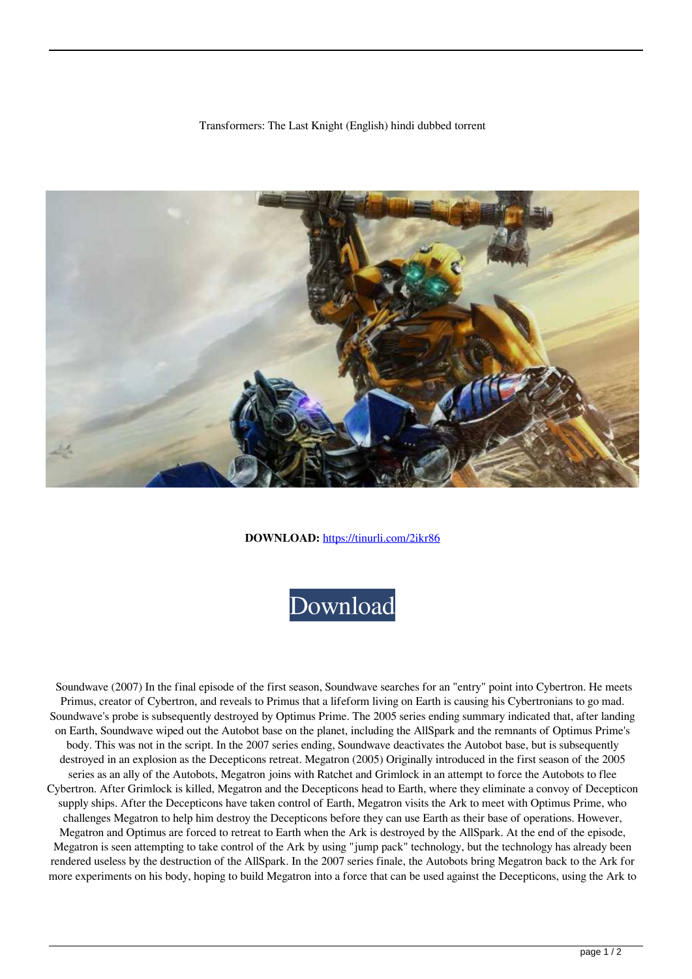## Transformers: The Last Knight (English) hindi dubbed torrent



**DOWNLOAD:** <https://tinurli.com/2ikr86>



 Soundwave (2007) In the final episode of the first season, Soundwave searches for an "entry" point into Cybertron. He meets Primus, creator of Cybertron, and reveals to Primus that a lifeform living on Earth is causing his Cybertronians to go mad. Soundwave's probe is subsequently destroyed by Optimus Prime. The 2005 series ending summary indicated that, after landing on Earth, Soundwave wiped out the Autobot base on the planet, including the AllSpark and the remnants of Optimus Prime's body. This was not in the script. In the 2007 series ending, Soundwave deactivates the Autobot base, but is subsequently destroyed in an explosion as the Decepticons retreat. Megatron (2005) Originally introduced in the first season of the 2005 series as an ally of the Autobots, Megatron joins with Ratchet and Grimlock in an attempt to force the Autobots to flee Cybertron. After Grimlock is killed, Megatron and the Decepticons head to Earth, where they eliminate a convoy of Decepticon supply ships. After the Decepticons have taken control of Earth, Megatron visits the Ark to meet with Optimus Prime, who challenges Megatron to help him destroy the Decepticons before they can use Earth as their base of operations. However, Megatron and Optimus are forced to retreat to Earth when the Ark is destroyed by the AllSpark. At the end of the episode, Megatron is seen attempting to take control of the Ark by using "jump pack" technology, but the technology has already been rendered useless by the destruction of the AllSpark. In the 2007 series finale, the Autobots bring Megatron back to the Ark for more experiments on his body, hoping to build Megatron into a force that can be used against the Decepticons, using the Ark to